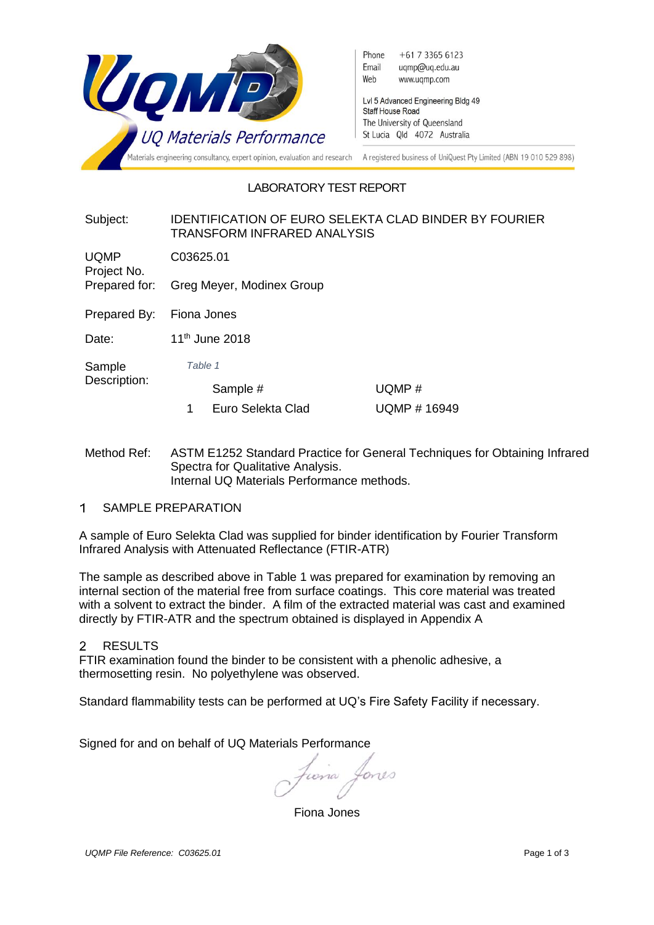

# LABORATORY TEST REPORT

## Subject: IDENTIFICATION OF EURO SELEKTA CLAD BINDER BY FOURIER TRANSFORM INFRARED ANALYSIS

UQMP Project No. C03625.01

Prepared for: Greg Meyer, Modinex Group

Prepared By: Fiona Jones

Date: 11<sup>th</sup> June 2018

Sample Description: *Table 1*

Sample # UQMP #

- 1 Euro Selekta Clad UQMP # 16949
- Method Ref: ASTM E1252 Standard Practice for General Techniques for Obtaining Infrared Spectra for Qualitative Analysis. Internal UQ Materials Performance methods.
- $\blacktriangleleft$ SAMPLE PREPARATION

A sample of Euro Selekta Clad was supplied for binder identification by Fourier Transform Infrared Analysis with Attenuated Reflectance (FTIR-ATR)

The sample as described above in Table 1 was prepared for examination by removing an internal section of the material free from surface coatings. This core material was treated with a solvent to extract the binder. A film of the extracted material was cast and examined directly by FTIR-ATR and the spectrum obtained is displayed in Appendix A

#### $\mathcal{P}$ **RESULTS**

FTIR examination found the binder to be consistent with a phenolic adhesive, a thermosetting resin. No polyethylene was observed.

Standard flammability tests can be performed at UQ's Fire Safety Facility if necessary.

Signed for and on behalf of UQ Materials Performance

cona Lones

Fiona Jones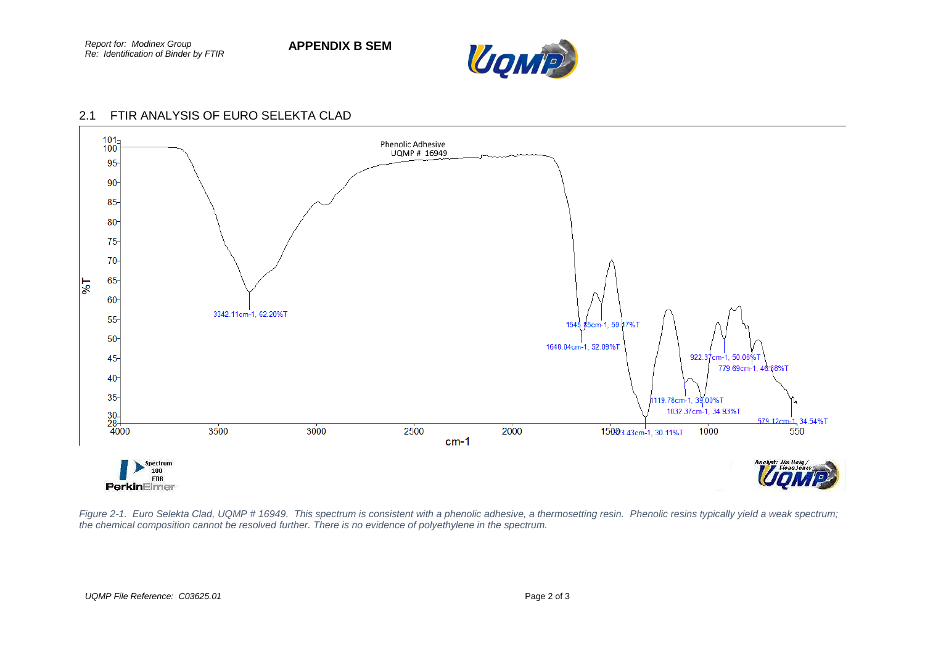

# 2.1 FTIR ANALYSIS OF EURO SELEKTA CLAD



*Figure 2-1. Euro Selekta Clad, UQMP # 16949. This spectrum is consistent with a phenolic adhesive, a thermosetting resin. Phenolic resins typically yield a weak spectrum; the chemical composition cannot be resolved further. There is no evidence of polyethylene in the spectrum.*